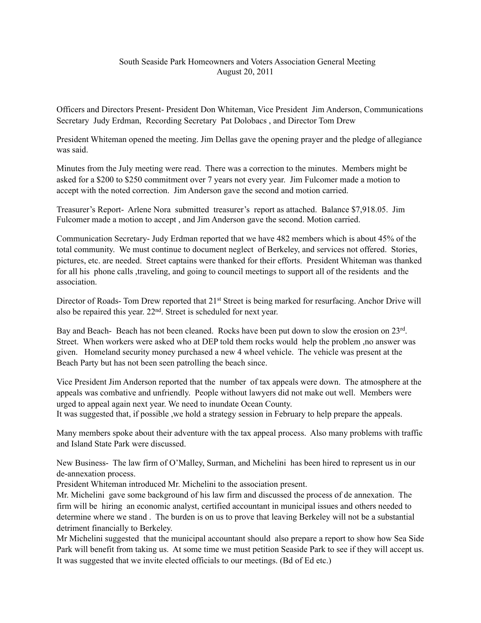## South Seaside Park Homeowners and Voters Association General Meeting August 20, 2011

Officers and Directors Present- President Don Whiteman, Vice President Jim Anderson, Communications Secretary Judy Erdman, Recording Secretary Pat Dolobacs , and Director Tom Drew

President Whiteman opened the meeting. Jim Dellas gave the opening prayer and the pledge of allegiance was said.

Minutes from the July meeting were read. There was a correction to the minutes. Members might be asked for a \$200 to \$250 commitment over 7 years not every year. Jim Fulcomer made a motion to accept with the noted correction. Jim Anderson gave the second and motion carried.

Treasurer's Report- Arlene Nora submitted treasurer's report as attached. Balance \$7,918.05. Jim Fulcomer made a motion to accept , and Jim Anderson gave the second. Motion carried.

Communication Secretary- Judy Erdman reported that we have 482 members which is about 45% of the total community. We must continue to document neglect of Berkeley, and services not offered. Stories, pictures, etc. are needed. Street captains were thanked for their efforts. President Whiteman was thanked for all his phone calls ,traveling, and going to council meetings to support all of the residents and the association.

Director of Roads- Tom Drew reported that 21<sup>st</sup> Street is being marked for resurfacing. Anchor Drive will also be repaired this year. 22nd. Street is scheduled for next year.

Bay and Beach- Beach has not been cleaned. Rocks have been put down to slow the erosion on 23rd. Street. When workers were asked who at DEP told them rocks would help the problem ,no answer was given. Homeland security money purchased a new 4 wheel vehicle. The vehicle was present at the Beach Party but has not been seen patrolling the beach since.

Vice President Jim Anderson reported that the number of tax appeals were down. The atmosphere at the appeals was combative and unfriendly. People without lawyers did not make out well. Members were urged to appeal again next year. We need to inundate Ocean County.

It was suggested that, if possible ,we hold a strategy session in February to help prepare the appeals.

Many members spoke about their adventure with the tax appeal process. Also many problems with traffic and Island State Park were discussed.

New Business- The law firm of O'Malley, Surman, and Michelini has been hired to represent us in our de-annexation process.

President Whiteman introduced Mr. Michelini to the association present.

Mr. Michelini gave some background of his law firm and discussed the process of de annexation. The firm will be hiring an economic analyst, certified accountant in municipal issues and others needed to determine where we stand . The burden is on us to prove that leaving Berkeley will not be a substantial detriment financially to Berkeley.

Mr Michelini suggested that the municipal accountant should also prepare a report to show how Sea Side Park will benefit from taking us. At some time we must petition Seaside Park to see if they will accept us. It was suggested that we invite elected officials to our meetings. (Bd of Ed etc.)